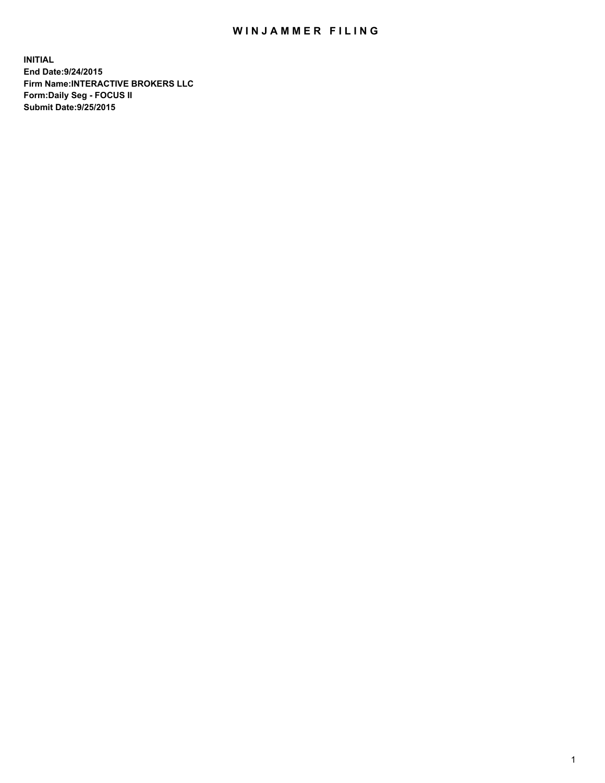## WIN JAMMER FILING

**INITIAL End Date:9/24/2015 Firm Name:INTERACTIVE BROKERS LLC Form:Daily Seg - FOCUS II Submit Date:9/25/2015**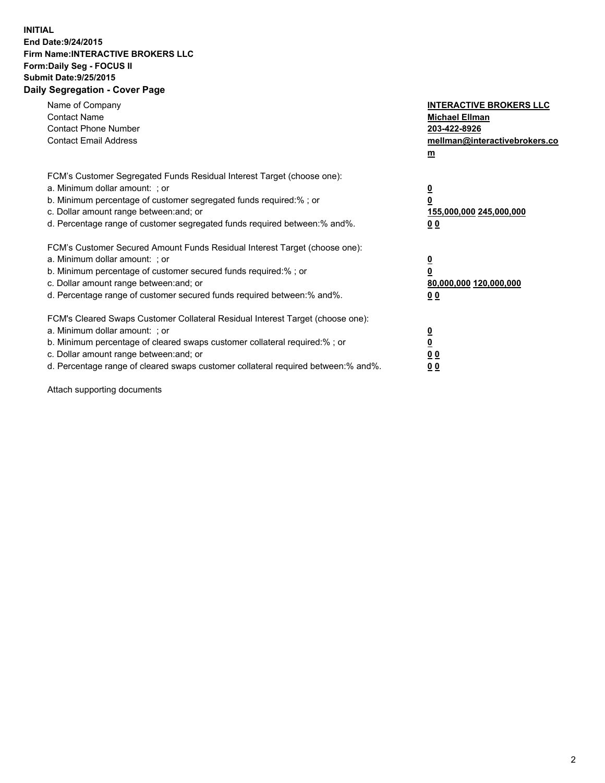## **INITIAL End Date:9/24/2015 Firm Name:INTERACTIVE BROKERS LLC Form:Daily Seg - FOCUS II Submit Date:9/25/2015 Daily Segregation - Cover Page**

| Name of Company<br><b>Contact Name</b><br><b>Contact Phone Number</b><br><b>Contact Email Address</b>                                                                                                                                                                                                                          | <b>INTERACTIVE BROKERS LLC</b><br><b>Michael Ellman</b><br>203-422-8926<br>mellman@interactivebrokers.co<br>$m$ |
|--------------------------------------------------------------------------------------------------------------------------------------------------------------------------------------------------------------------------------------------------------------------------------------------------------------------------------|-----------------------------------------------------------------------------------------------------------------|
| FCM's Customer Segregated Funds Residual Interest Target (choose one):<br>a. Minimum dollar amount: ; or<br>b. Minimum percentage of customer segregated funds required:% ; or<br>c. Dollar amount range between: and; or<br>d. Percentage range of customer segregated funds required between: % and %.                       | $\overline{\mathbf{0}}$<br>0<br>155,000,000 245,000,000<br>00                                                   |
| FCM's Customer Secured Amount Funds Residual Interest Target (choose one):<br>a. Minimum dollar amount: ; or<br>b. Minimum percentage of customer secured funds required:%; or<br>c. Dollar amount range between: and; or<br>d. Percentage range of customer secured funds required between: % and %.                          | $\overline{\mathbf{0}}$<br>0<br>80,000,000 120,000,000<br>0 <sub>0</sub>                                        |
| FCM's Cleared Swaps Customer Collateral Residual Interest Target (choose one):<br>a. Minimum dollar amount: ; or<br>b. Minimum percentage of cleared swaps customer collateral required:% ; or<br>c. Dollar amount range between: and; or<br>d. Percentage range of cleared swaps customer collateral required between:% and%. | $\overline{\mathbf{0}}$<br>$\underline{\mathbf{0}}$<br>0 <sub>0</sub><br>0 <sub>0</sub>                         |

Attach supporting documents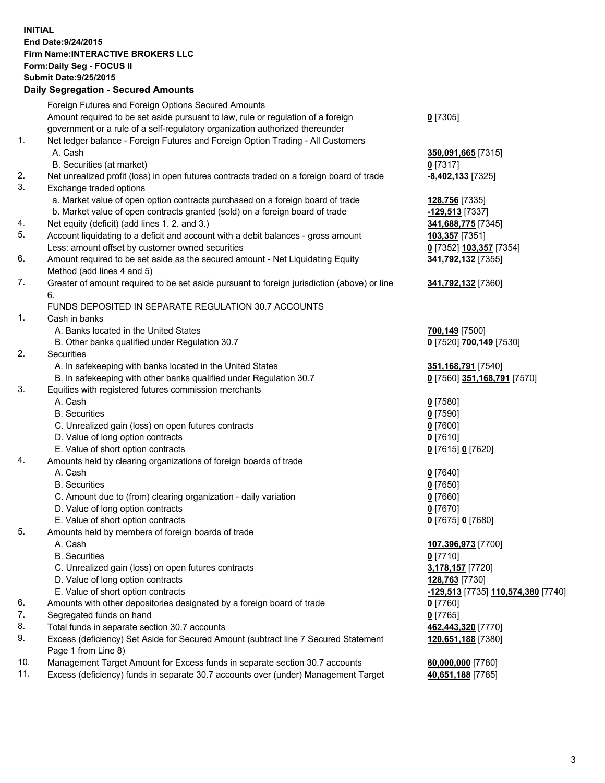## **INITIAL End Date:9/24/2015 Firm Name:INTERACTIVE BROKERS LLC Form:Daily Seg - FOCUS II Submit Date:9/25/2015 Daily Segregation - Secured Amounts**

|          | $-$ 0.000 $-$ 0.000 $-$ 0.000 $-$ 0.000 $-$ 0.000 $-$ 0.000 $-$ 0.000 $-$ 0.000 $-$ 0.000 $-$ 0.000 $-$ 0.000 $-$ 0.000 $-$ 0.000 $-$ 0.000 $-$ 0.000 $-$ 0.000 $-$ 0.000 $-$ 0.000 $-$ 0.000 $-$ 0.000 $-$ 0.000 $-$ 0.000 |                                    |
|----------|-----------------------------------------------------------------------------------------------------------------------------------------------------------------------------------------------------------------------------|------------------------------------|
|          | Foreign Futures and Foreign Options Secured Amounts                                                                                                                                                                         |                                    |
|          | Amount required to be set aside pursuant to law, rule or regulation of a foreign                                                                                                                                            | $0$ [7305]                         |
|          | government or a rule of a self-regulatory organization authorized thereunder                                                                                                                                                |                                    |
| 1.       | Net ledger balance - Foreign Futures and Foreign Option Trading - All Customers                                                                                                                                             |                                    |
|          | A. Cash                                                                                                                                                                                                                     | 350,091,665 [7315]                 |
|          | B. Securities (at market)                                                                                                                                                                                                   | $0$ [7317]                         |
| 2.       | Net unrealized profit (loss) in open futures contracts traded on a foreign board of trade                                                                                                                                   | -8,402,133 [7325]                  |
| 3.       | Exchange traded options                                                                                                                                                                                                     |                                    |
|          | a. Market value of open option contracts purchased on a foreign board of trade                                                                                                                                              | 128,756 [7335]                     |
|          | b. Market value of open contracts granted (sold) on a foreign board of trade                                                                                                                                                | -129,513 [7337]                    |
| 4.       | Net equity (deficit) (add lines 1.2. and 3.)                                                                                                                                                                                | 341,688,775 [7345]                 |
| 5.       | Account liquidating to a deficit and account with a debit balances - gross amount                                                                                                                                           | 103,357 [7351]                     |
|          | Less: amount offset by customer owned securities                                                                                                                                                                            | 0 [7352] 103,357 [7354]            |
| 6.       | Amount required to be set aside as the secured amount - Net Liquidating Equity                                                                                                                                              | 341,792,132 [7355]                 |
|          | Method (add lines 4 and 5)                                                                                                                                                                                                  |                                    |
| 7.       | Greater of amount required to be set aside pursuant to foreign jurisdiction (above) or line                                                                                                                                 | 341,792,132 [7360]                 |
|          | 6.                                                                                                                                                                                                                          |                                    |
|          | FUNDS DEPOSITED IN SEPARATE REGULATION 30.7 ACCOUNTS                                                                                                                                                                        |                                    |
| 1.       | Cash in banks                                                                                                                                                                                                               |                                    |
|          | A. Banks located in the United States                                                                                                                                                                                       | 700,149 [7500]                     |
|          | B. Other banks qualified under Regulation 30.7                                                                                                                                                                              | 0 [7520] 700,149 [7530]            |
| 2.       | Securities                                                                                                                                                                                                                  |                                    |
|          | A. In safekeeping with banks located in the United States                                                                                                                                                                   | 351, 168, 791 [7540]               |
|          | B. In safekeeping with other banks qualified under Regulation 30.7                                                                                                                                                          | 0 [7560] 351,168,791 [7570]        |
| 3.       | Equities with registered futures commission merchants                                                                                                                                                                       |                                    |
|          | A. Cash                                                                                                                                                                                                                     | $0$ [7580]                         |
|          | <b>B.</b> Securities                                                                                                                                                                                                        | <u>0</u> [7590]                    |
|          | C. Unrealized gain (loss) on open futures contracts                                                                                                                                                                         | $0$ [7600]                         |
|          | D. Value of long option contracts                                                                                                                                                                                           | $0$ [7610]                         |
|          | E. Value of short option contracts                                                                                                                                                                                          | 0 [7615] 0 [7620]                  |
| 4.       | Amounts held by clearing organizations of foreign boards of trade                                                                                                                                                           |                                    |
|          | A. Cash                                                                                                                                                                                                                     | $0$ [7640]                         |
|          | <b>B.</b> Securities                                                                                                                                                                                                        | <u>0</u> [7650]                    |
|          | C. Amount due to (from) clearing organization - daily variation                                                                                                                                                             | $0$ [7660]                         |
|          | D. Value of long option contracts                                                                                                                                                                                           | $0$ [7670]                         |
|          | E. Value of short option contracts                                                                                                                                                                                          | 0 [7675] 0 [7680]                  |
| 5.       | Amounts held by members of foreign boards of trade                                                                                                                                                                          |                                    |
|          | A. Cash                                                                                                                                                                                                                     | 107,396,973 [7700]                 |
|          | <b>B.</b> Securities                                                                                                                                                                                                        | $0$ [7710]                         |
|          | C. Unrealized gain (loss) on open futures contracts                                                                                                                                                                         | 3,178,157 [7720]                   |
|          | D. Value of long option contracts                                                                                                                                                                                           | 128,763 [7730]                     |
|          | E. Value of short option contracts                                                                                                                                                                                          | -129,513 [7735] 110,574,380 [7740] |
| 6.       | Amounts with other depositories designated by a foreign board of trade                                                                                                                                                      | $0$ [7760]                         |
| 7.<br>8. | Segregated funds on hand                                                                                                                                                                                                    | $0$ [7765]                         |
| 9.       | Total funds in separate section 30.7 accounts                                                                                                                                                                               | 462,443,320 [7770]                 |
|          | Excess (deficiency) Set Aside for Secured Amount (subtract line 7 Secured Statement<br>Page 1 from Line 8)                                                                                                                  | 120,651,188 [7380]                 |
| 10.      | Management Target Amount for Excess funds in separate section 30.7 accounts                                                                                                                                                 | 80,000,000 [7780]                  |
| 11.      | Excess (deficiency) funds in separate 30.7 accounts over (under) Management Target                                                                                                                                          | 40,651,188 [7785]                  |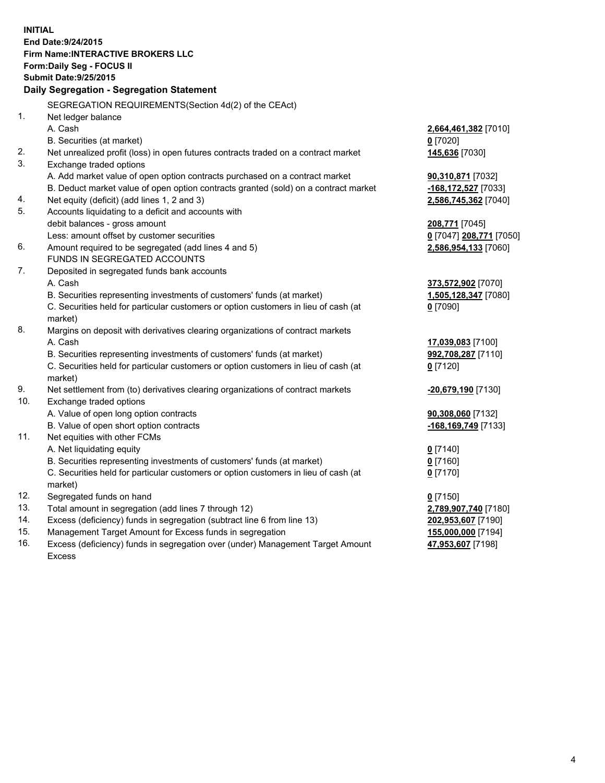**INITIAL End Date:9/24/2015 Firm Name:INTERACTIVE BROKERS LLC Form:Daily Seg - FOCUS II Submit Date:9/25/2015 Daily Segregation - Segregation Statement** SEGREGATION REQUIREMENTS(Section 4d(2) of the CEAct) 1. Net ledger balance A. Cash **2,664,461,382** [7010] B. Securities (at market) **0** [7020] 2. Net unrealized profit (loss) in open futures contracts traded on a contract market **145,636** [7030] 3. Exchange traded options A. Add market value of open option contracts purchased on a contract market **90,310,871** [7032] B. Deduct market value of open option contracts granted (sold) on a contract market **-168,172,527** [7033] 4. Net equity (deficit) (add lines 1, 2 and 3) **2,586,745,362** [7040] 5. Accounts liquidating to a deficit and accounts with debit balances - gross amount **208,771** [7045] Less: amount offset by customer securities **0** [7047] **208,771** [7050] 6. Amount required to be segregated (add lines 4 and 5) **2,586,954,133** [7060] FUNDS IN SEGREGATED ACCOUNTS 7. Deposited in segregated funds bank accounts A. Cash **373,572,902** [7070] B. Securities representing investments of customers' funds (at market) **1,505,128,347** [7080] C. Securities held for particular customers or option customers in lieu of cash (at market) **0** [7090] 8. Margins on deposit with derivatives clearing organizations of contract markets A. Cash **17,039,083** [7100] B. Securities representing investments of customers' funds (at market) **992,708,287** [7110] C. Securities held for particular customers or option customers in lieu of cash (at market) **0** [7120] 9. Net settlement from (to) derivatives clearing organizations of contract markets **-20,679,190** [7130] 10. Exchange traded options A. Value of open long option contracts **90,308,060** [7132] B. Value of open short option contracts **-168,169,749** [7133] 11. Net equities with other FCMs A. Net liquidating equity **0** [7140] B. Securities representing investments of customers' funds (at market) **0** [7160] C. Securities held for particular customers or option customers in lieu of cash (at market) **0** [7170] 12. Segregated funds on hand **0** [7150] 13. Total amount in segregation (add lines 7 through 12) **2,789,907,740** [7180] 14. Excess (deficiency) funds in segregation (subtract line 6 from line 13) **202,953,607** [7190] 15. Management Target Amount for Excess funds in segregation **155,000,000** [7194] **47,953,607** [7198]

16. Excess (deficiency) funds in segregation over (under) Management Target Amount Excess